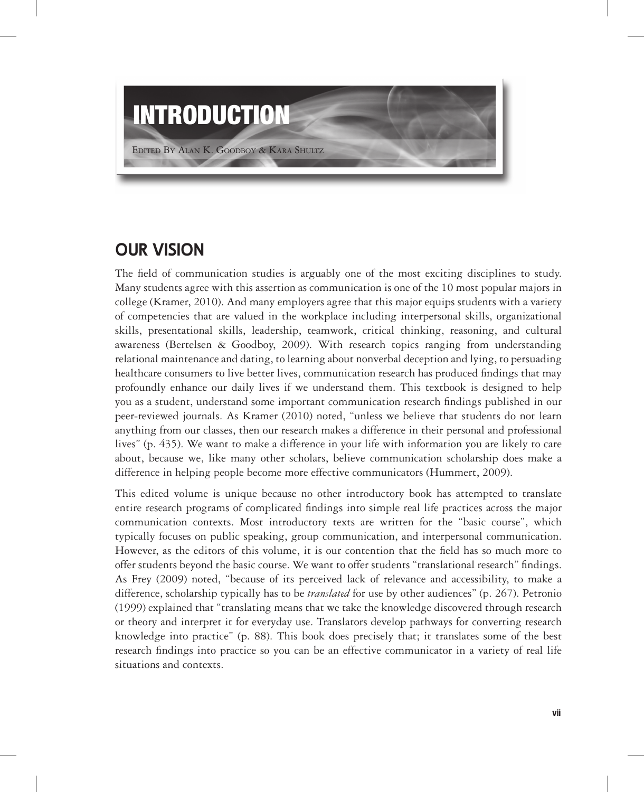

## **oUR Vision**

The field of communication studies is arguably one of the most exciting disciplines to study. Many students agree with this assertion as communication is one of the 10 most popular majors in college (Kramer, 2010). And many employers agree that this major equips students with a variety of competencies that are valued in the workplace including interpersonal skills, organizational skills, presentational skills, leadership, teamwork, critical thinking, reasoning, and cultural awareness (Bertelsen & Goodboy, 2009). With research topics ranging from understanding relational maintenance and dating, to learning about nonverbal deception and lying, to persuading healthcare consumers to live better lives, communication research has produced findings that may profoundly enhance our daily lives if we understand them. This textbook is designed to help you as a student, understand some important communication research findings published in our peer-reviewed journals. As Kramer (2010) noted, "unless we believe that students do not learn anything from our classes, then our research makes a difference in their personal and professional lives" (p. 435). We want to make a difference in your life with information you are likely to care about, because we, like many other scholars, believe communication scholarship does make a difference in helping people become more effective communicators (Hummert, 2009).

This edited volume is unique because no other introductory book has attempted to translate entire research programs of complicated findings into simple real life practices across the major communication contexts. Most introductory texts are written for the "basic course", which typically focuses on public speaking, group communication, and interpersonal communication. However, as the editors of this volume, it is our contention that the field has so much more to offer students beyond the basic course. We want to offer students "translational research" findings. As Frey (2009) noted, "because of its perceived lack of relevance and accessibility, to make a difference, scholarship typically has to be *translated* for use by other audiences" (p. 267). Petronio (1999) explained that "translating means that we take the knowledge discovered through research or theory and interpret it for everyday use. Translators develop pathways for converting research knowledge into practice" (p. 88). This book does precisely that; it translates some of the best research findings into practice so you can be an effective communicator in a variety of real life situations and contexts.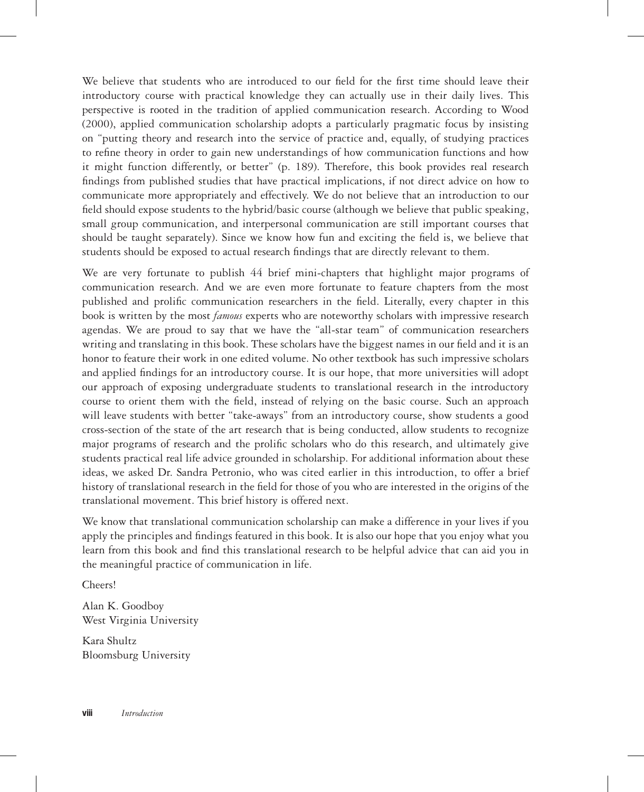We believe that students who are introduced to our field for the first time should leave their introductory course with practical knowledge they can actually use in their daily lives. This perspective is rooted in the tradition of applied communication research. According to Wood (2000), applied communication scholarship adopts a particularly pragmatic focus by insisting on "putting theory and research into the service of practice and, equally, of studying practices to refine theory in order to gain new understandings of how communication functions and how it might function differently, or better" (p. 189). Therefore, this book provides real research findings from published studies that have practical implications, if not direct advice on how to communicate more appropriately and effectively. We do not believe that an introduction to our field should expose students to the hybrid/basic course (although we believe that public speaking, small group communication, and interpersonal communication are still important courses that should be taught separately). Since we know how fun and exciting the field is, we believe that students should be exposed to actual research findings that are directly relevant to them.

We are very fortunate to publish 44 brief mini-chapters that highlight major programs of communication research. And we are even more fortunate to feature chapters from the most published and prolific communication researchers in the field. Literally, every chapter in this book is written by the most *famous* experts who are noteworthy scholars with impressive research agendas. We are proud to say that we have the "all-star team" of communication researchers writing and translating in this book. These scholars have the biggest names in our field and it is an honor to feature their work in one edited volume. No other textbook has such impressive scholars and applied findings for an introductory course. It is our hope, that more universities will adopt our approach of exposing undergraduate students to translational research in the introductory course to orient them with the field, instead of relying on the basic course. Such an approach will leave students with better "take-aways" from an introductory course, show students a good cross-section of the state of the art research that is being conducted, allow students to recognize major programs of research and the prolific scholars who do this research, and ultimately give students practical real life advice grounded in scholarship. For additional information about these ideas, we asked Dr. Sandra Petronio, who was cited earlier in this introduction, to offer a brief history of translational research in the field for those of you who are interested in the origins of the translational movement. This brief history is offered next.

We know that translational communication scholarship can make a difference in your lives if you apply the principles and findings featured in this book. It is also our hope that you enjoy what you learn from this book and find this translational research to be helpful advice that can aid you in the meaningful practice of communication in life.

Cheers!

Alan K. Goodboy West Virginia University

Kara Shultz Bloomsburg University